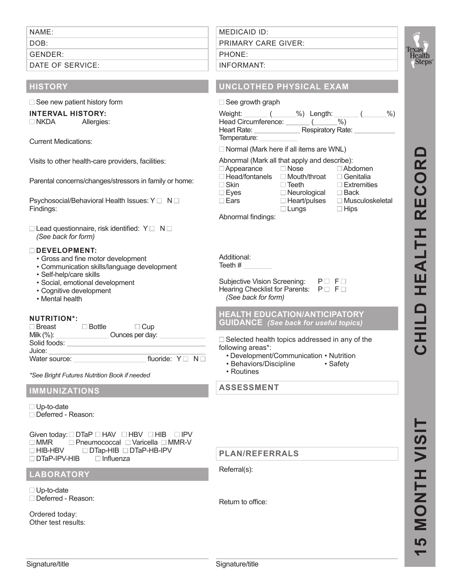NAME:

DOB:'

GENDER:

DATE OF SERVICE:

# **HISTORY**

 $\Box$  See new patient history form

# **INTERVAL HISTORY:**

'NKDA Allergies:

Current Medications:

Visits to other health-care providers, facilities:

Parental concerns/changes/stressors in family or home:

Psychosocial/Behavioral Health Issues: YO NO Findings:

 $\Box$  Lead questionnaire, risk identified:  $\angle$  O NO (See back for form)

### **DEVELOPMENT:**

- Gross and fine motor development
- Communication skills/language development
- Self-help/care skills
- Social, emotional development
- Cognitive development
- Mental health

### **NUTRITION\*:**

| $\square$ Breast       | Bottle | $\Box$ Cup      |  |
|------------------------|--------|-----------------|--|
| Milk $(\%)$ :          |        | Ounces per day: |  |
| Solid foods:<br>Juice: |        |                 |  |
| Water source:          |        | fluoride: YO NO |  |

\*See Bright Futures Nutrition Book if needed

# **IMMUNIZATIONS**

O Up-to-date O Deferred - Reason:

#### Given today:  $\Box$  DTaP  $\Box$  HAV  $\Box$  HBV  $\Box$  HIB  $\Box$  IPV  $\Box$  MMR  $\Box$  Pneumococcal  $\Box$  Varicella  $\Box$  MMR-V □HIB-HBV □DTap-HIB □DTaP-HB-IPV □ DTaP-IPV-HIB Q Influenza

# **LABORATORY**

O Up-to-date O Deferred - Reason:

Ordered today: Other test results: MEDICAID'ID: PRIMARY CARE GIVER: PHONE:

### INFORMANT:

# **UNCLOTHED PHYSICAL EXAM**

| $\Box$ See growth graph                                                                                                                     |                   |           |       |
|---------------------------------------------------------------------------------------------------------------------------------------------|-------------------|-----------|-------|
| Weight: ______ (______%) Length: ______ (___<br>Head Circumference:<br>Heart Rate: _<br>Temperature:                                        | Respiratory Rate: | $\%$      | $%$ ) |
| $\Box$ Normal (Mark here if all items are WNL)                                                                                              |                   |           |       |
| Abnormal (Mark all that apply and describe):<br>$\Box$ Appearance $\Box$ Nose<br>$\Box$ Head/fontanels $\Box$ Mouth/throat $\Box$ Genitalia |                   | ⊟ Abdomen |       |

 $\square$  Skin  $\square$  Teeth  $\square$  Extremities  $\square$  Eves  $\square$  Neurological  $\square$  Back  $\Box$  Eyes  $\Box$  Neurological  $\square$  Ears  $\square$  Heart/pulses  $\square$  Musculoskeletal

 $\Box$  Lungs  $\Box$  Hips

Abnormal findings:

Additional: Teeth #

Subjective Vision Screening: PO FO Hearing Checklist for Parents: PO FO (See back for form)

### **HEALTH EDUCATION/ANTICIPATORY GUIDANCE** (See back for useful topics)

 $\Box$  Selected health topics addressed in any of the following areas\*:

• Development/Communication • Nutrition

- Behaviors/Discipline Safety
- Routines

**ASSESSMENT**

# **PLAN/REFERRALS**

Referral(s):

Return to office: